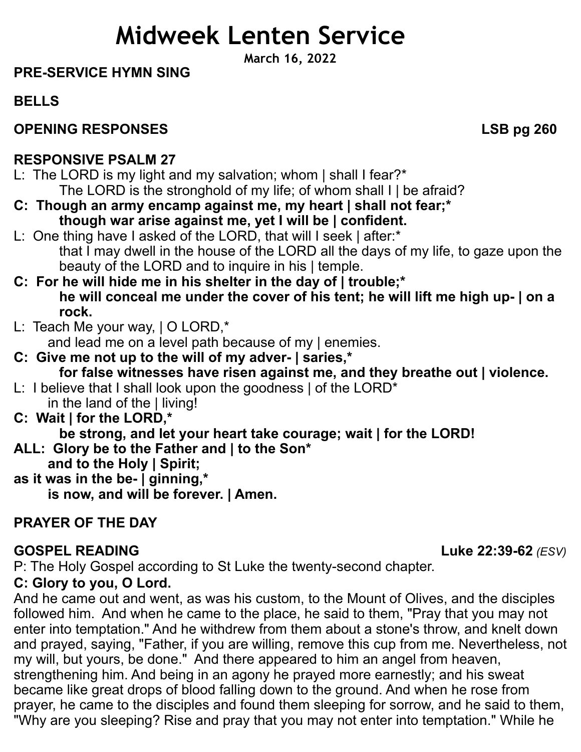# **Midweek Lenten Service**

**March 16, 2022**

#### **PRE-SERVICE HYMN SING**

**BELLS**

# **OPENING RESPONSES** LSB pg 260

#### **RESPONSIVE PSALM 27**

- L: The LORD is my light and my salvation; whom | shall I fear?\* The LORD is the stronghold of my life; of whom shall I | be afraid?
- **C: Though an army encamp against me, my heart | shall not fear;\* though war arise against me, yet I will be | confident.**
- L: One thing have I asked of the LORD, that will I seek | after:\* that I may dwell in the house of the LORD all the days of my life, to gaze upon the beauty of the LORD and to inquire in his | temple.
- **C: For he will hide me in his shelter in the day of | trouble;\* he will conceal me under the cover of his tent; he will lift me high up- | on a rock.**
- L: Teach Me your way, | O LORD,\*
- and lead me on a level path because of my | enemies.
- **C: Give me not up to the will of my adver- | saries,\* for false witnesses have risen against me, and they breathe out | violence.** L: I believe that I shall look upon the goodness | of the LORD<sup>\*</sup>
- in the land of the | living! **C: Wait | for the LORD,\***
	- **be strong, and let your heart take courage; wait | for the LORD!**
- **ALL: Glory be to the Father and | to the Son\* and to the Holy | Spirit;**
- **as it was in the be- | ginning,\* is now, and will be forever. | Amen.**

# **PRAYER OF THE DAY**

# **GOSPEL READING****Luke 22:39-62** *(ESV)*

P: The Holy Gospel according to St Luke the twenty-second chapter.

# **C: Glory to you, O Lord.**

And he came out and went, as was his custom, to the Mount of Olives, and the disciples followed him. And when he came to the place, he said to them, "Pray that you may not enter into temptation." And he withdrew from them about a stone's throw, and knelt down and prayed, saying, "Father, if you are willing, remove this cup from me. Nevertheless, not my will, but yours, be done." And there appeared to him an angel from heaven, strengthening him. And being in an agony he prayed more earnestly; and his sweat became like great drops of blood falling down to the ground. And when he rose from prayer, he came to the disciples and found them sleeping for sorrow, and he said to them, "Why are you sleeping? Rise and pray that you may not enter into temptation." While he